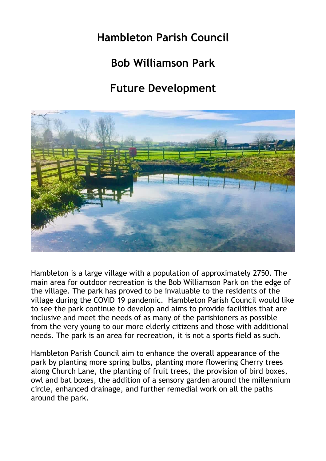# **Hambleton Parish Council**

# **Bob Williamson Park**

# **Future Development**



Hambleton is a large village with a population of approximately 2750. The main area for outdoor recreation is the Bob Williamson Park on the edge of the village. The park has proved to be invaluable to the residents of the village during the COVID 19 pandemic. Hambleton Parish Council would like to see the park continue to develop and aims to provide facilities that are inclusive and meet the needs of as many of the parishioners as possible from the very young to our more elderly citizens and those with additional needs. The park is an area for recreation, it is not a sports field as such.

Hambleton Parish Council aim to enhance the overall appearance of the park by planting more spring bulbs, planting more flowering Cherry trees along Church Lane, the planting of fruit trees, the provision of bird boxes, owl and bat boxes, the addition of a sensory garden around the millennium circle, enhanced drainage, and further remedial work on all the paths around the park.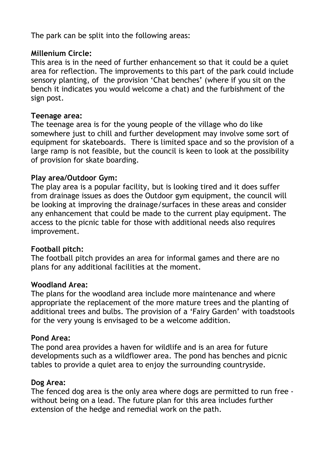The park can be split into the following areas:

# **Millenium Circle:**

This area is in the need of further enhancement so that it could be a quiet area for reflection. The improvements to this part of the park could include sensory planting, of the provision 'Chat benches' (where if you sit on the bench it indicates you would welcome a chat) and the furbishment of the sign post.

## **Teenage area:**

The teenage area is for the young people of the village who do like somewhere just to chill and further development may involve some sort of equipment for skateboards. There is limited space and so the provision of a large ramp is not feasible, but the council is keen to look at the possibility of provision for skate boarding.

# **Play area/Outdoor Gym:**

The play area is a popular facility, but is looking tired and it does suffer from drainage issues as does the Outdoor gym equipment, the council will be looking at improving the drainage/surfaces in these areas and consider any enhancement that could be made to the current play equipment. The access to the picnic table for those with additional needs also requires improvement.

## **Football pitch:**

The football pitch provides an area for informal games and there are no plans for any additional facilities at the moment.

## **Woodland Area:**

The plans for the woodland area include more maintenance and where appropriate the replacement of the more mature trees and the planting of additional trees and bulbs. The provision of a 'Fairy Garden' with toadstools for the very young is envisaged to be a welcome addition.

## **Pond Area:**

The pond area provides a haven for wildlife and is an area for future developments such as a wildflower area. The pond has benches and picnic tables to provide a quiet area to enjoy the surrounding countryside.

## **Dog Area:**

The fenced dog area is the only area where dogs are permitted to run free without being on a lead. The future plan for this area includes further extension of the hedge and remedial work on the path.